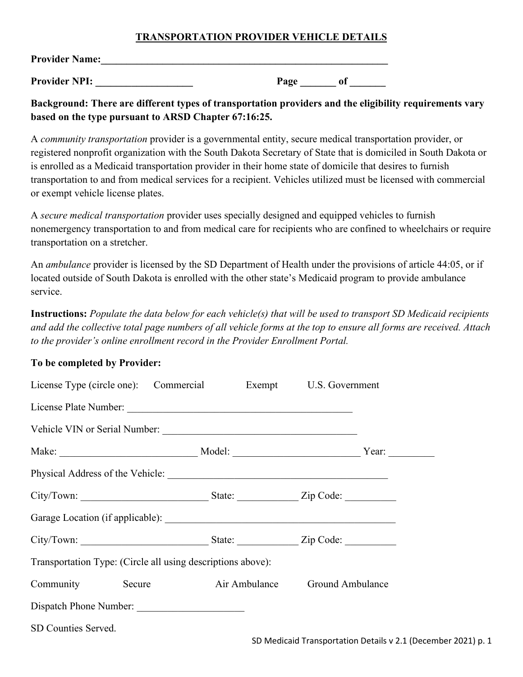## **TRANSPORTATION PROVIDER VEHICLE DETAILS**

| <b>Provider Name:</b> |      |  |
|-----------------------|------|--|
| <b>Provider NPI:</b>  | Page |  |

**Background: There are different types of transportation providers and the eligibility requirements vary based on the type pursuant to ARSD Chapter 67:16:25.**

A *community transportation* provider is a governmental entity, secure medical transportation provider, or registered nonprofit organization with the South Dakota Secretary of State that is domiciled in South Dakota or is enrolled as a Medicaid transportation provider in their home state of domicile that desires to furnish transportation to and from medical services for a recipient. Vehicles utilized must be licensed with commercial or exempt vehicle license plates.

A *secure medical transportation* provider uses specially designed and equipped vehicles to furnish nonemergency transportation to and from medical care for recipients who are confined to wheelchairs or require transportation on a stretcher.

An *ambulance* provider is licensed by the SD Department of Health under the provisions of article 44:05, or if located outside of South Dakota is enrolled with the other state's Medicaid program to provide ambulance service.

**Instructions:** *Populate the data below for each vehicle(s) that will be used to transport SD Medicaid recipients and add the collective total page numbers of all vehicle forms at the top to ensure all forms are received. Attach to the provider's online enrollment record in the Provider Enrollment Portal.*

## **To be completed by Provider:**

| License Type (circle one): Commercial Exempt U.S. Government |  |  |
|--------------------------------------------------------------|--|--|
|                                                              |  |  |
|                                                              |  |  |
|                                                              |  |  |
|                                                              |  |  |
|                                                              |  |  |
|                                                              |  |  |
|                                                              |  |  |
| Transportation Type: (Circle all using descriptions above):  |  |  |
| Community Secure Air Ambulance Ground Ambulance              |  |  |
| Dispatch Phone Number:                                       |  |  |
| SD Counties Served.                                          |  |  |